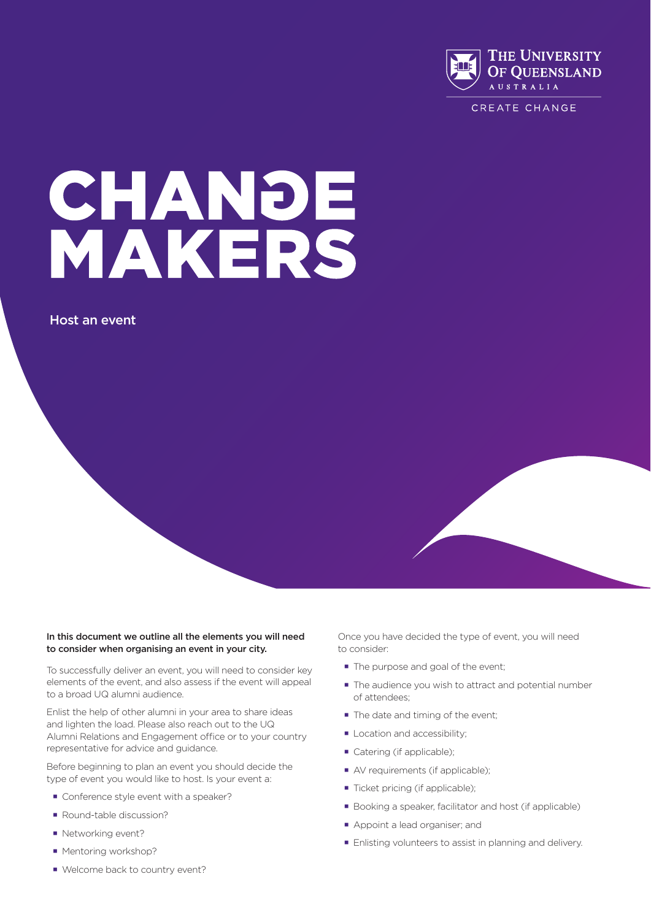

CREATE CHANGE

# CHANDE<br>MAKERS

Host an event

#### In this document we outline all the elements you will need to consider when organising an event in your city.

To successfully deliver an event, you will need to consider key elements of the event, and also assess if the event will appeal to a broad UQ alumni audience.

Enlist the help of other alumni in your area to share ideas and lighten the load. Please also reach out to the UQ Alumni Relations and Engagement office or to your country representative for advice and guidance.

Before beginning to plan an event you should decide the type of event you would like to host. Is your event a:

- Conference style event with a speaker?
- Round-table discussion?
- Networking event?
- Mentoring workshop?
- Welcome back to country event?

Once you have decided the type of event, you will need to consider:

- The purpose and goal of the event;
- $\blacksquare$  The audience you wish to attract and potential number of attendees;
- The date and timing of the event:
- Location and accessibility;
- Catering (if applicable);
- AV requirements (if applicable);
- Ticket pricing (if applicable);
- Booking a speaker, facilitator and host (if applicable)
- Appoint a lead organiser; and
- **Enlisting volunteers to assist in planning and delivery.**